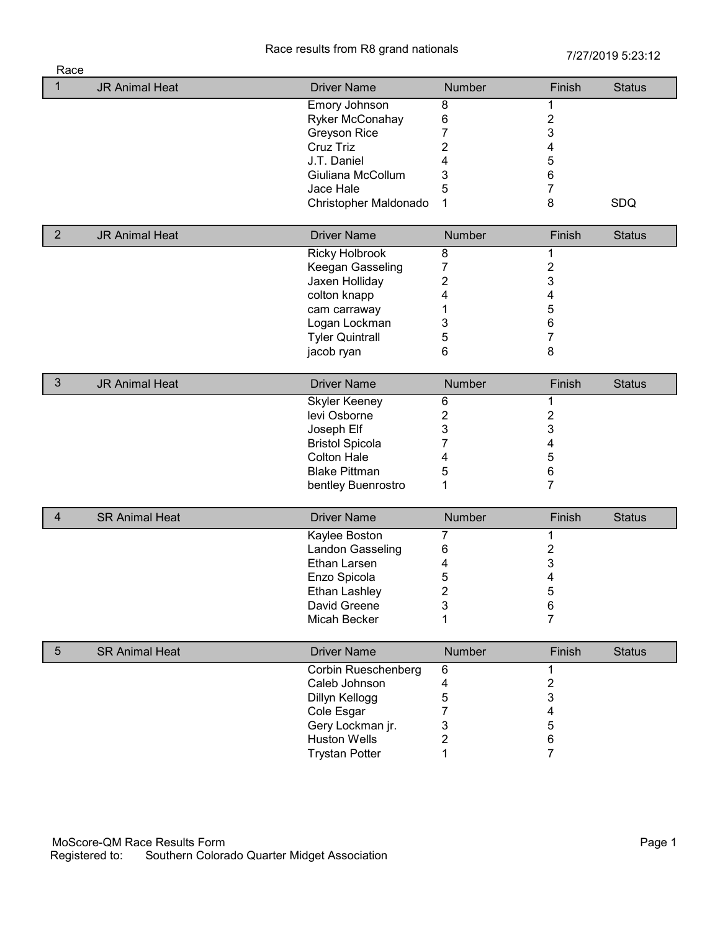Race results from R8 grand nationals<br>
7/27/2019 5:23:12

| Race            |                       |                            |                         |                         |               |
|-----------------|-----------------------|----------------------------|-------------------------|-------------------------|---------------|
| 1               | <b>JR Animal Heat</b> | <b>Driver Name</b>         | Number                  | Finish                  | <b>Status</b> |
|                 |                       | <b>Emory Johnson</b>       | 8                       | 1                       |               |
|                 |                       | Ryker McConahay            | 6                       | $\boldsymbol{2}$        |               |
|                 |                       | Greyson Rice               | 7                       | 3                       |               |
|                 |                       | Cruz Triz                  | 2                       | 4                       |               |
|                 |                       | J.T. Daniel                | 4                       | 5                       |               |
|                 |                       | Giuliana McCollum          | 3                       | 6                       |               |
|                 |                       | Jace Hale                  | 5                       | 7                       |               |
|                 |                       | Christopher Maldonado      | 1                       | 8                       | SDQ           |
| $\overline{2}$  | <b>JR Animal Heat</b> | <b>Driver Name</b>         | Number                  | Finish                  | <b>Status</b> |
|                 |                       | <b>Ricky Holbrook</b>      | 8                       | 1                       |               |
|                 |                       | Keegan Gasseling           | 7                       | $\overline{\mathbf{c}}$ |               |
|                 |                       | Jaxen Holliday             | $\overline{\mathbf{c}}$ | 3                       |               |
|                 |                       | colton knapp               | 4                       | 4                       |               |
|                 |                       | cam carraway               | 1                       | 5                       |               |
|                 |                       | Logan Lockman              | 3                       | 6                       |               |
|                 |                       | <b>Tyler Quintrall</b>     | 5                       | $\overline{7}$          |               |
|                 |                       | jacob ryan                 | 6                       | 8                       |               |
|                 |                       |                            |                         |                         |               |
| $\mathfrak{Z}$  | <b>JR Animal Heat</b> | <b>Driver Name</b>         | Number                  | Finish                  | <b>Status</b> |
|                 |                       | <b>Skyler Keeney</b>       | 6                       | 1                       |               |
|                 |                       | levi Osborne               | $\overline{2}$          | $\boldsymbol{2}$        |               |
|                 |                       | Joseph Elf                 | 3                       | 3                       |               |
|                 |                       | <b>Bristol Spicola</b>     | 7                       | 4                       |               |
|                 |                       | <b>Colton Hale</b>         | 4                       | 5                       |               |
|                 |                       | <b>Blake Pittman</b>       | 5                       | 6                       |               |
|                 |                       | bentley Buenrostro         | 1                       | $\overline{7}$          |               |
| 4               | <b>SR Animal Heat</b> | <b>Driver Name</b>         | Number                  | Finish                  | <b>Status</b> |
|                 |                       | Kaylee Boston              | 7                       | 1                       |               |
|                 |                       | Landon Gasseling           | 6                       | $\overline{\mathbf{c}}$ |               |
|                 |                       | Ethan Larsen               | 4                       | 3                       |               |
|                 |                       | Enzo Spicola               | 5                       | 4                       |               |
|                 |                       | Ethan Lashley              | $\overline{\mathbf{c}}$ | 5                       |               |
|                 |                       | David Greene               | 3                       | $\,6$                   |               |
|                 |                       | Micah Becker               | 1                       | $\overline{7}$          |               |
|                 |                       |                            |                         |                         |               |
| $5\phantom{.0}$ | <b>SR Animal Heat</b> | <b>Driver Name</b>         | Number                  | Finish                  | <b>Status</b> |
|                 |                       | <b>Corbin Rueschenberg</b> | 6                       | 1                       |               |
|                 |                       | Caleb Johnson              | 4                       | $\overline{\mathbf{c}}$ |               |
|                 |                       | Dillyn Kellogg             | 5                       | 3                       |               |
|                 |                       | Cole Esgar                 | 7                       | 4                       |               |
|                 |                       | Gery Lockman jr.           | 3                       | 5                       |               |
|                 |                       | <b>Huston Wells</b>        | $\overline{c}$          | 6                       |               |
|                 |                       | <b>Trystan Potter</b>      | 1                       | $\overline{7}$          |               |
|                 |                       |                            |                         |                         |               |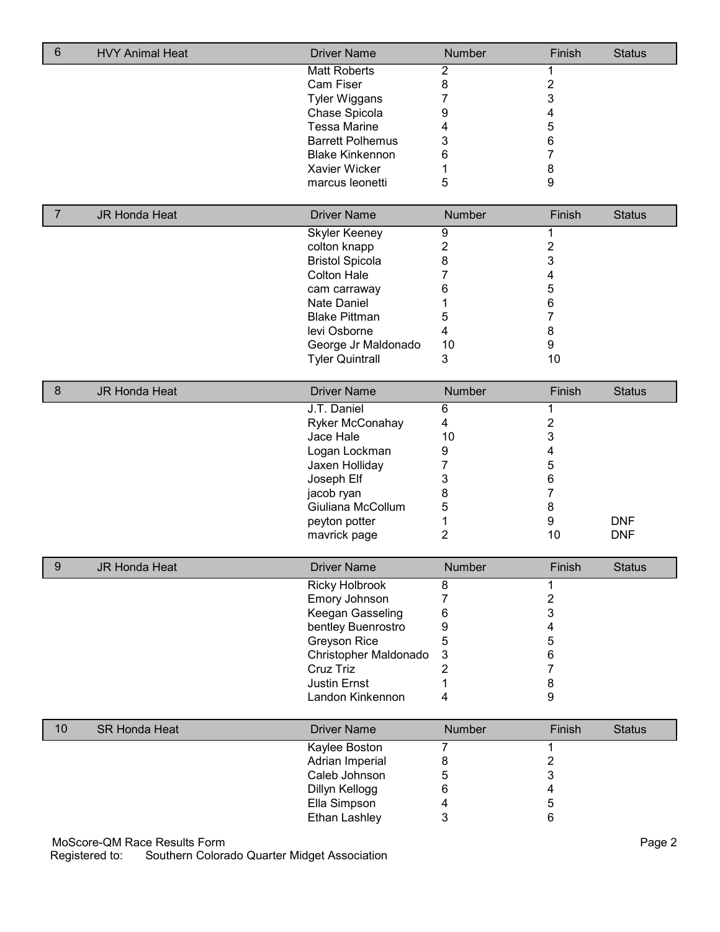| 6              | <b>HVY Animal Heat</b>       | <b>Driver Name</b>      | Number                  | Finish                  | <b>Status</b> |
|----------------|------------------------------|-------------------------|-------------------------|-------------------------|---------------|
|                |                              | <b>Matt Roberts</b>     | $\overline{2}$          | 1                       |               |
|                |                              | Cam Fiser               | 8                       | $\overline{\mathbf{c}}$ |               |
|                |                              | <b>Tyler Wiggans</b>    | 7                       | 3                       |               |
|                |                              | Chase Spicola           | 9                       | 4                       |               |
|                |                              | <b>Tessa Marine</b>     | 4                       | 5                       |               |
|                |                              | <b>Barrett Polhemus</b> | 3                       | 6                       |               |
|                |                              | <b>Blake Kinkennon</b>  | 6                       | 7                       |               |
|                |                              | Xavier Wicker           | 1                       | 8                       |               |
|                |                              | marcus leonetti         | 5                       | 9                       |               |
| $\overline{7}$ |                              | <b>Driver Name</b>      |                         |                         |               |
|                | <b>JR Honda Heat</b>         | <b>Skyler Keeney</b>    | <b>Number</b><br>9      | Finish<br>1             | <b>Status</b> |
|                |                              | colton knapp            | $\overline{2}$          | $\overline{\mathbf{c}}$ |               |
|                |                              | <b>Bristol Spicola</b>  | 8                       | 3                       |               |
|                |                              | <b>Colton Hale</b>      | 7                       | 4                       |               |
|                |                              | cam carraway            | 6                       | 5                       |               |
|                |                              | Nate Daniel             |                         | 6                       |               |
|                |                              | <b>Blake Pittman</b>    | 1                       | $\overline{7}$          |               |
|                |                              |                         | 5                       |                         |               |
|                |                              | levi Osborne            | $\overline{\mathbf{4}}$ | 8                       |               |
|                |                              | George Jr Maldonado     | 10                      | 9                       |               |
|                |                              | <b>Tyler Quintrall</b>  | 3                       | 10                      |               |
| $\bf 8$        | <b>JR Honda Heat</b>         | <b>Driver Name</b>      | Number                  | Finish                  | <b>Status</b> |
|                |                              | J.T. Daniel             | 6                       | 1                       |               |
|                |                              | Ryker McConahay         | $\overline{\mathbf{4}}$ | $\overline{\mathbf{c}}$ |               |
|                |                              | Jace Hale               | 10                      | 3                       |               |
|                |                              | Logan Lockman           | 9                       | 4                       |               |
|                |                              | Jaxen Holliday          | 7                       | 5                       |               |
|                |                              | Joseph Elf              | 3                       | 6                       |               |
|                |                              | jacob ryan              | 8                       | 7                       |               |
|                |                              | Giuliana McCollum       | 5                       | 8                       |               |
|                |                              | peyton potter           | 1                       | 9                       | <b>DNF</b>    |
|                |                              | mavrick page            | $\overline{2}$          | 10                      | <b>DNF</b>    |
|                |                              |                         |                         |                         |               |
| 9              | <b>JR Honda Heat</b>         | <b>Driver Name</b>      | Number                  | Finish                  | <b>Status</b> |
|                |                              | <b>Ricky Holbrook</b>   | 8                       | 1                       |               |
|                |                              | Emory Johnson           | 7                       | $\overline{\mathbf{c}}$ |               |
|                |                              | Keegan Gasseling        | 6                       | 3                       |               |
|                |                              | bentley Buenrostro      | 9                       | 4                       |               |
|                |                              | Greyson Rice            | 5                       | 5                       |               |
|                |                              | Christopher Maldonado   | 3                       | 6                       |               |
|                |                              | Cruz Triz               | 2                       | 7                       |               |
|                |                              | <b>Justin Ernst</b>     | 1                       | 8                       |               |
|                |                              | Landon Kinkennon        | 4                       | 9                       |               |
| 10             | <b>SR Honda Heat</b>         | <b>Driver Name</b>      | Number                  | Finish                  | <b>Status</b> |
|                |                              | Kaylee Boston           | 7                       | 1                       |               |
|                |                              | Adrian Imperial         | 8                       | $\overline{\mathbf{c}}$ |               |
|                |                              | Caleb Johnson           | 5                       | 3                       |               |
|                |                              | Dillyn Kellogg          | 6                       | 4                       |               |
|                |                              | Ella Simpson            | 4                       | 5                       |               |
|                |                              | Ethan Lashley           | 3                       | 6                       |               |
|                |                              |                         |                         |                         |               |
|                | MoScore-QM Race Results Form |                         |                         |                         | Page 2        |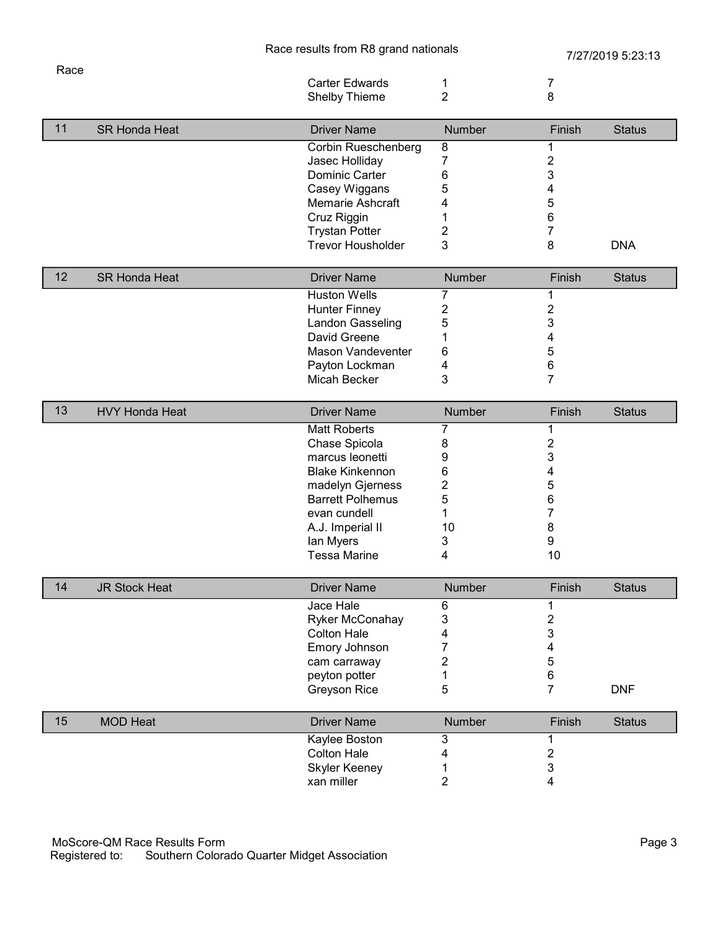Race

|    |                       | <b>Carter Edwards</b>    | 1              | 7                       |               |
|----|-----------------------|--------------------------|----------------|-------------------------|---------------|
|    |                       | Shelby Thieme            | $\overline{2}$ | 8                       |               |
|    |                       |                          |                |                         |               |
| 11 | <b>SR Honda Heat</b>  | <b>Driver Name</b>       | Number         | Finish                  | <b>Status</b> |
|    |                       | Corbin Rueschenberg      | 8              | 1                       |               |
|    |                       | Jasec Holliday           | 7              | $\overline{\mathbf{c}}$ |               |
|    |                       | Dominic Carter           | 6              | 3                       |               |
|    |                       | Casey Wiggans            | 5              | 4                       |               |
|    |                       | Memarie Ashcraft         | 4              | 5                       |               |
|    |                       | Cruz Riggin              | 1              | 6                       |               |
|    |                       | <b>Trystan Potter</b>    | $\overline{2}$ | 7                       |               |
|    |                       | <b>Trevor Housholder</b> | 3              | 8                       | <b>DNA</b>    |
| 12 |                       |                          |                |                         |               |
|    | <b>SR Honda Heat</b>  | <b>Driver Name</b>       | Number         | Finish                  | <b>Status</b> |
|    |                       | <b>Huston Wells</b>      | 7              | 1                       |               |
|    |                       | <b>Hunter Finney</b>     | 2              | $\overline{\mathbf{c}}$ |               |
|    |                       | Landon Gasseling         | 5              | 3                       |               |
|    |                       | David Greene             | 1              | 4                       |               |
|    |                       | <b>Mason Vandeventer</b> | 6              | 5                       |               |
|    |                       | Payton Lockman           | 4              | 6                       |               |
|    |                       | Micah Becker             | 3              | 7                       |               |
| 13 | <b>HVY Honda Heat</b> | <b>Driver Name</b>       | Number         | Finish                  | <b>Status</b> |
|    |                       | <b>Matt Roberts</b>      | 7              | 1                       |               |
|    |                       | Chase Spicola            | 8              | $\overline{\mathbf{c}}$ |               |
|    |                       | marcus leonetti          | 9              | 3                       |               |
|    |                       | <b>Blake Kinkennon</b>   |                |                         |               |
|    |                       |                          | 6              | 4                       |               |
|    |                       | madelyn Gjerness         | $\overline{2}$ | 5                       |               |
|    |                       | <b>Barrett Polhemus</b>  | 5              | 6                       |               |
|    |                       | evan cundell             | 1              | 7                       |               |
|    |                       | A.J. Imperial II         | 10             | 8                       |               |
|    |                       | lan Myers                | 3              | 9                       |               |
|    |                       | <b>Tessa Marine</b>      | 4              | 10                      |               |
| 14 | <b>JR Stock Heat</b>  | <b>Driver Name</b>       | Number         | Finish                  | <b>Status</b> |
|    |                       | Jace Hale                | 6              | 1                       |               |
|    |                       | Ryker McConahay          | 3              | $\overline{\mathbf{c}}$ |               |
|    |                       | <b>Colton Hale</b>       | 4              | 3                       |               |
|    |                       | Emory Johnson            | 7              | 4                       |               |
|    |                       | cam carraway             | 2              | 5                       |               |
|    |                       | peyton potter            | 1              | 6                       |               |
|    |                       | <b>Greyson Rice</b>      | 5              | $\overline{7}$          | <b>DNF</b>    |
|    |                       |                          |                |                         |               |
| 15 | <b>MOD Heat</b>       | <b>Driver Name</b>       | Number         | Finish                  | <b>Status</b> |
|    |                       | Kaylee Boston            | 3              | 1                       |               |
|    |                       | <b>Colton Hale</b>       | 4              | $\overline{\mathbf{c}}$ |               |
|    |                       | <b>Skyler Keeney</b>     | 1              | 3                       |               |
|    |                       | xan miller               | $\overline{2}$ | 4                       |               |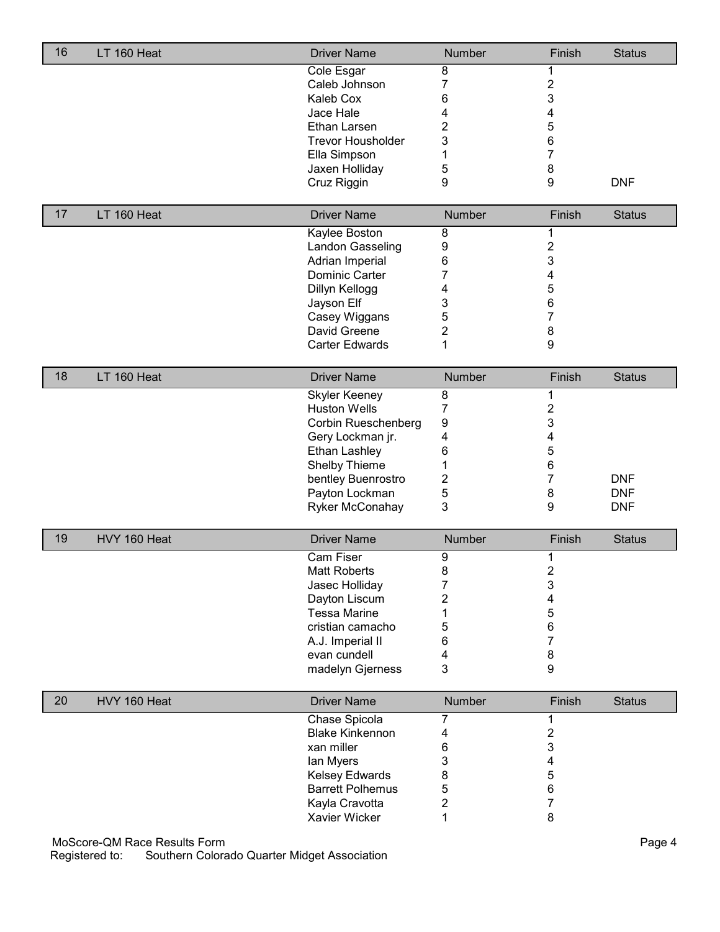| 16 | LT 160 Heat  | <b>Driver Name</b>       | Number           | Finish                  | <b>Status</b> |
|----|--------------|--------------------------|------------------|-------------------------|---------------|
|    |              | Cole Esgar               | 8                |                         |               |
|    |              | Caleb Johnson            | 7                | $\overline{c}$          |               |
|    |              | Kaleb Cox                | 6                | 3                       |               |
|    |              | Jace Hale                | 4                | 4                       |               |
|    |              | Ethan Larsen             | 2                | 5                       |               |
|    |              | <b>Trevor Housholder</b> | 3                | 6                       |               |
|    |              | Ella Simpson             | 1                | 7                       |               |
|    |              | Jaxen Holliday           | 5                | 8                       |               |
|    |              | Cruz Riggin              | 9                | 9                       | <b>DNF</b>    |
|    |              |                          |                  |                         |               |
| 17 | LT 160 Heat  | <b>Driver Name</b>       | Number           | Finish                  | <b>Status</b> |
|    |              | Kaylee Boston            | 8                |                         |               |
|    |              | Landon Gasseling         | 9                | $\overline{\mathbf{c}}$ |               |
|    |              | Adrian Imperial          | 6                | 3                       |               |
|    |              | Dominic Carter           | 7                | 4                       |               |
|    |              | Dillyn Kellogg           | 4                | 5                       |               |
|    |              | Jayson Elf               | 3                | 6                       |               |
|    |              | Casey Wiggans            | 5                | $\overline{7}$          |               |
|    |              | David Greene             | 2                | 8                       |               |
|    |              | <b>Carter Edwards</b>    | 1                | 9                       |               |
| 18 | LT 160 Heat  | <b>Driver Name</b>       | Number           | Finish                  | <b>Status</b> |
|    |              | <b>Skyler Keeney</b>     | $\overline{8}$   | 1                       |               |
|    |              | <b>Huston Wells</b>      | 7                | $\overline{\mathbf{c}}$ |               |
|    |              | Corbin Rueschenberg      | 9                | 3                       |               |
|    |              | Gery Lockman jr.         | 4                | 4                       |               |
|    |              | Ethan Lashley            | 6                | 5                       |               |
|    |              | Shelby Thieme            | 1                | 6                       |               |
|    |              | bentley Buenrostro       | 2                | $\overline{7}$          | <b>DNF</b>    |
|    |              | Payton Lockman           | 5                | 8                       | <b>DNF</b>    |
|    |              | Ryker McConahay          | 3                | 9                       | <b>DNF</b>    |
|    |              |                          |                  |                         |               |
| 19 | HVY 160 Heat | <b>Driver Name</b>       | Number           | Finish                  | <b>Status</b> |
|    |              | Cam Fiser                | $\boldsymbol{9}$ | 1                       |               |
|    |              | <b>Matt Roberts</b>      | 8                | $\overline{\mathbf{c}}$ |               |
|    |              | Jasec Holliday           | 7                | 3                       |               |
|    |              | Dayton Liscum            | 2                | 4                       |               |
|    |              | <b>Tessa Marine</b>      | 1                | 5                       |               |
|    |              | cristian camacho         | 5                | 6                       |               |
|    |              | A.J. Imperial II         | 6                | 7                       |               |
|    |              | evan cundell             | 4                | 8                       |               |
|    |              | madelyn Gjerness         | 3                | 9                       |               |
| 20 | HVY 160 Heat | <b>Driver Name</b>       | Number           | Finish                  | <b>Status</b> |
|    |              | Chase Spicola            | 7                | 1                       |               |
|    |              | <b>Blake Kinkennon</b>   | 4                | $\overline{\mathbf{c}}$ |               |
|    |              | xan miller               | 6                | 3                       |               |
|    |              | lan Myers                | 3                | 4                       |               |
|    |              | Kelsey Edwards           | 8                | 5                       |               |
|    |              | <b>Barrett Polhemus</b>  | 5                | 6                       |               |
|    |              | Kayla Cravotta           | 2                | 7                       |               |
|    |              | Xavier Wicker            | 1                | 8                       |               |
|    |              |                          |                  |                         |               |

MoScore-QM Race Results Form Page 4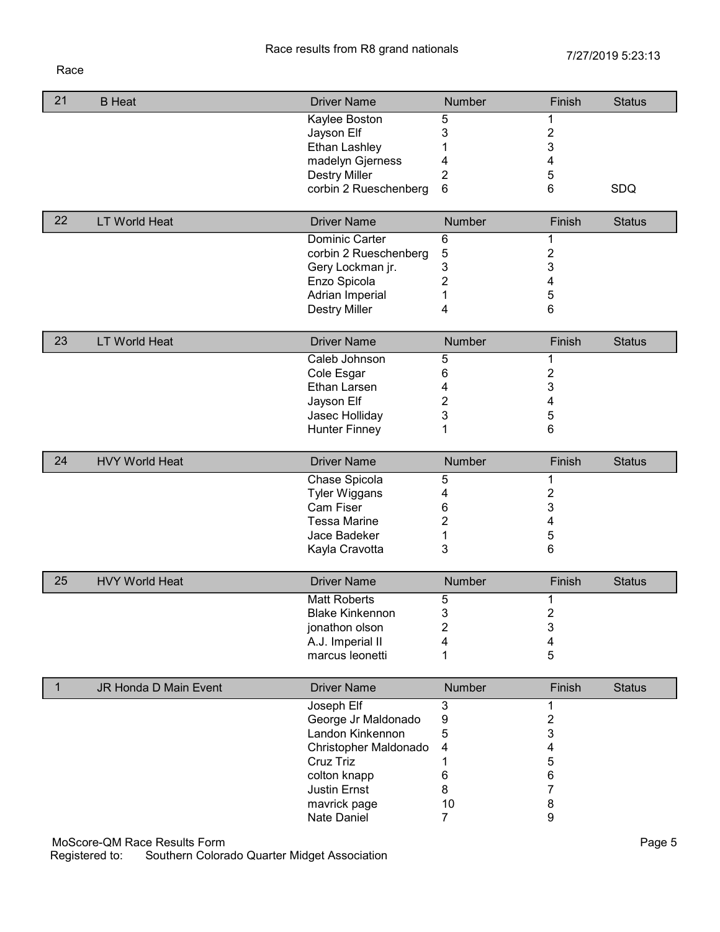## Race

| 21           | <b>B</b> Heat                | <b>Driver Name</b>     | Number         | Finish           | <b>Status</b> |
|--------------|------------------------------|------------------------|----------------|------------------|---------------|
|              |                              |                        |                |                  |               |
|              |                              | Kaylee Boston          | 5              | 1                |               |
|              |                              | Jayson Elf             | 3              | $\overline{2}$   |               |
|              |                              | <b>Ethan Lashley</b>   | 1              | 3                |               |
|              |                              | madelyn Gjerness       | 4              | 4                |               |
|              |                              | <b>Destry Miller</b>   | $\overline{2}$ | 5                |               |
|              |                              | corbin 2 Rueschenberg  | 6              | 6                | SDQ           |
|              |                              |                        |                |                  |               |
| 22           | <b>LT World Heat</b>         | <b>Driver Name</b>     | Number         | Finish           | <b>Status</b> |
|              |                              | Dominic Carter         | 6              | 1                |               |
|              |                              | corbin 2 Rueschenberg  | $\mathbf 5$    | $\overline{2}$   |               |
|              |                              | Gery Lockman jr.       | 3              | 3                |               |
|              |                              | Enzo Spicola           | $\overline{2}$ | 4                |               |
|              |                              | Adrian Imperial        | 1              | 5                |               |
|              |                              | <b>Destry Miller</b>   | 4              | 6                |               |
|              |                              |                        |                |                  |               |
| 23           | <b>LT World Heat</b>         | <b>Driver Name</b>     | Number         | Finish           | <b>Status</b> |
|              |                              | Caleb Johnson          | 5              | 1                |               |
|              |                              | Cole Esgar             | 6              | $\overline{c}$   |               |
|              |                              | Ethan Larsen           | 4              | 3                |               |
|              |                              | Jayson Elf             | 2              | 4                |               |
|              |                              | Jasec Holliday         | 3              | 5                |               |
|              |                              | <b>Hunter Finney</b>   | 1              | 6                |               |
|              |                              |                        |                |                  |               |
| 24           | <b>HVY World Heat</b>        | <b>Driver Name</b>     | Number         | Finish           | <b>Status</b> |
|              |                              | Chase Spicola          | 5              | 1                |               |
|              |                              | <b>Tyler Wiggans</b>   | 4              | 2                |               |
|              |                              | Cam Fiser              | 6              | 3                |               |
|              |                              | <b>Tessa Marine</b>    | 2              | 4                |               |
|              |                              | Jace Badeker           | 1              | 5                |               |
|              |                              | Kayla Cravotta         | 3              | 6                |               |
|              |                              |                        |                |                  |               |
| 25           | <b>HVY World Heat</b>        | <b>Driver Name</b>     | Number         | Finish           | <b>Status</b> |
|              |                              | <b>Matt Roberts</b>    | 5              | 1                |               |
|              |                              | <b>Blake Kinkennon</b> | 3              | $\overline{c}$   |               |
|              |                              | jonathon olson         | 2              | 3                |               |
|              |                              | A.J. Imperial II       | 4              | 4                |               |
|              |                              | marcus leonetti        | 1              | 5                |               |
|              |                              |                        |                |                  |               |
| $\mathbf{1}$ | JR Honda D Main Event        | <b>Driver Name</b>     | Number         | Finish           | <b>Status</b> |
|              |                              | Joseph Elf             | 3              | 1                |               |
|              |                              | George Jr Maldonado    | 9              | $\overline{2}$   |               |
|              |                              | Landon Kinkennon       | 5              | 3                |               |
|              |                              | Christopher Maldonado  | 4              | 4                |               |
|              |                              | Cruz Triz              | 1              | 5                |               |
|              |                              | colton knapp           | 6              | 6                |               |
|              |                              | <b>Justin Ernst</b>    | 8              | $\overline{7}$   |               |
|              |                              |                        |                |                  |               |
|              |                              | mavrick page           | 10             | 8                |               |
|              |                              | Nate Daniel            | 7              | $\boldsymbol{9}$ |               |
|              | MoScore-QM Race Results Form |                        |                |                  | Page 5        |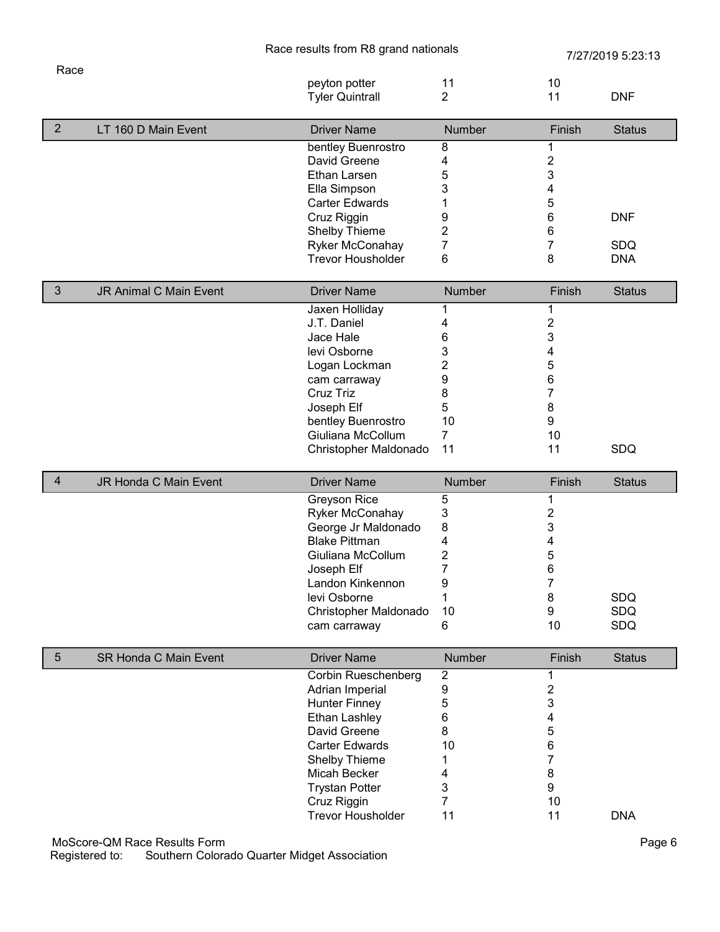|                |                              | Race results from R8 grand nationals         |                         | 7/27/2019 5:23:13         |                   |
|----------------|------------------------------|----------------------------------------------|-------------------------|---------------------------|-------------------|
| Race           |                              |                                              |                         |                           |                   |
|                |                              | peyton potter                                | 11                      | 10                        |                   |
|                |                              | <b>Tyler Quintrall</b>                       | $\overline{2}$          | 11                        | <b>DNF</b>        |
| 2              | LT 160 D Main Event          | <b>Driver Name</b>                           | Number                  | Finish                    | <b>Status</b>     |
|                |                              | bentley Buenrostro                           | 8                       |                           |                   |
|                |                              | David Greene                                 | 4                       | $\overline{\mathbf{c}}$   |                   |
|                |                              | Ethan Larsen                                 | 5                       | 3                         |                   |
|                |                              | Ella Simpson                                 | 3                       | 4                         |                   |
|                |                              | <b>Carter Edwards</b>                        | 1                       | 5                         |                   |
|                |                              | Cruz Riggin                                  | 9                       | $\,6\,$                   | <b>DNF</b>        |
|                |                              |                                              | $\overline{2}$          |                           |                   |
|                |                              | Shelby Thieme                                |                         | 6                         |                   |
|                |                              | Ryker McConahay                              | 7                       | 7                         | <b>SDQ</b>        |
|                |                              | <b>Trevor Housholder</b>                     | 6                       | 8                         | <b>DNA</b>        |
| $\sqrt{3}$     | JR Animal C Main Event       | <b>Driver Name</b>                           | Number                  | Finish                    | <b>Status</b>     |
|                |                              | Jaxen Holliday                               | 1                       | 1                         |                   |
|                |                              | J.T. Daniel                                  | 4                       | $\boldsymbol{2}$          |                   |
|                |                              | Jace Hale                                    | 6                       | 3                         |                   |
|                |                              | levi Osborne                                 | 3                       | 4                         |                   |
|                |                              | Logan Lockman                                | $\overline{\mathbf{c}}$ | 5                         |                   |
|                |                              | cam carraway                                 | 9                       | 6                         |                   |
|                |                              | Cruz Triz                                    | 8                       | $\overline{7}$            |                   |
|                |                              | Joseph Elf                                   | 5                       | 8                         |                   |
|                |                              | bentley Buenrostro                           | 10                      | 9                         |                   |
|                |                              | Giuliana McCollum                            | $\overline{7}$          | 10                        |                   |
|                |                              | Christopher Maldonado                        | 11                      | 11                        | <b>SDQ</b>        |
|                |                              |                                              |                         |                           |                   |
|                |                              |                                              |                         |                           |                   |
| $\overline{4}$ | JR Honda C Main Event        | <b>Driver Name</b>                           | Number                  | Finish                    | <b>Status</b>     |
|                |                              | Greyson Rice                                 | 5                       | 1                         |                   |
|                |                              | Ryker McConahay                              | 3                       | $\overline{\mathbf{c}}$   |                   |
|                |                              | George Jr Maldonado                          | 8                       | 3                         |                   |
|                |                              | <b>Blake Pittman</b>                         | 4                       | 4                         |                   |
|                |                              | Giuliana McCollum                            | 2                       |                           |                   |
|                |                              |                                              |                         | 5                         |                   |
|                |                              | Joseph Elf                                   | $\overline{7}$          | 6                         |                   |
|                |                              | Landon Kinkennon                             | 9                       | 7                         |                   |
|                |                              | levi Osborne                                 | 1                       | 8                         | SDQ               |
|                |                              | Christopher Maldonado<br>cam carraway        | 10<br>6                 | $\boldsymbol{9}$<br>10    | SDQ<br><b>SDQ</b> |
|                |                              |                                              |                         |                           |                   |
| $\overline{5}$ | <b>SR Honda C Main Event</b> | <b>Driver Name</b>                           | Number                  | Finish                    | <b>Status</b>     |
|                |                              | Corbin Rueschenberg                          | $\overline{2}$          | 1                         |                   |
|                |                              | Adrian Imperial                              | 9                       | $\overline{\mathbf{c}}$   |                   |
|                |                              | <b>Hunter Finney</b>                         | 5                       | $\ensuremath{\mathsf{3}}$ |                   |
|                |                              | Ethan Lashley                                | 6                       | 4                         |                   |
|                |                              | David Greene                                 | 8                       | 5                         |                   |
|                |                              | <b>Carter Edwards</b>                        | 10                      | 6                         |                   |
|                |                              | Shelby Thieme                                | 1                       | 7                         |                   |
|                |                              | Micah Becker                                 | 4                       | 8                         |                   |
|                |                              | <b>Trystan Potter</b>                        | 3                       | $\boldsymbol{9}$          |                   |
|                |                              | Cruz Riggin                                  | 7                       | 10                        |                   |
|                |                              | <b>Trevor Housholder</b>                     | 11                      | 11                        | <b>DNA</b>        |
|                | MoScore-QM Race Results Form |                                              |                         |                           | Page 6            |
|                | Registered to:               | Southern Colorado Quarter Midget Association |                         |                           |                   |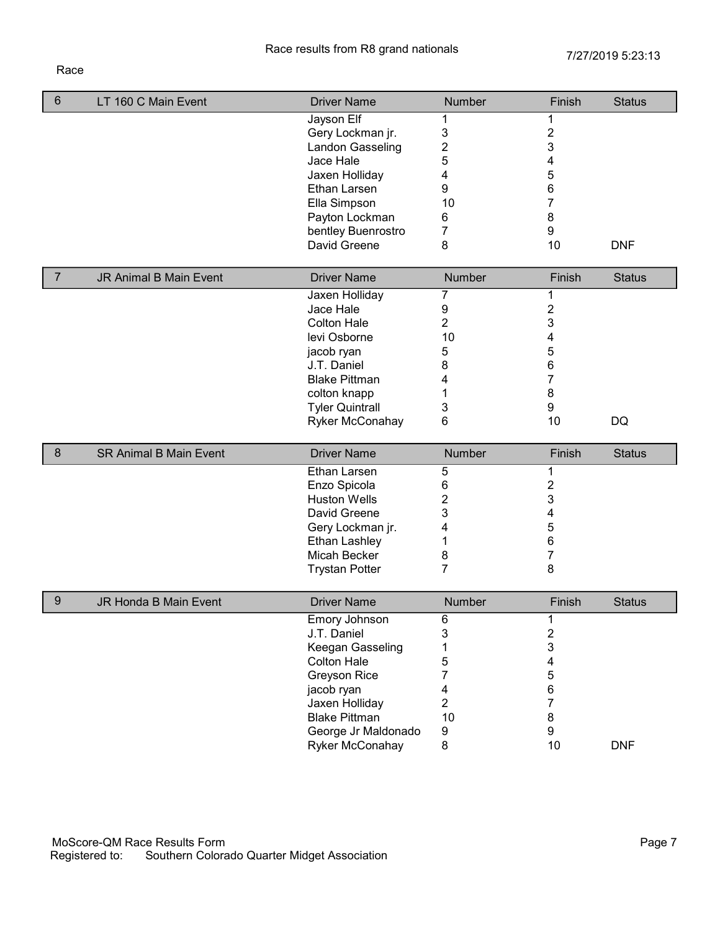## Race

| $\,6$          | LT 160 C Main Event           | <b>Driver Name</b>     | Number                  | Finish         | <b>Status</b> |
|----------------|-------------------------------|------------------------|-------------------------|----------------|---------------|
|                |                               | Jayson Elf             | 1                       | 1              |               |
|                |                               | Gery Lockman jr.       | 3                       | $\overline{2}$ |               |
|                |                               | Landon Gasseling       | $\overline{\mathbf{c}}$ | 3              |               |
|                |                               | Jace Hale              | 5                       | 4              |               |
|                |                               | Jaxen Holliday         | 4                       | 5              |               |
|                |                               | Ethan Larsen           | 9                       | 6              |               |
|                |                               | Ella Simpson           | 10                      | 7              |               |
|                |                               | Payton Lockman         | 6                       | 8              |               |
|                |                               | bentley Buenrostro     | 7                       | 9              |               |
|                |                               | David Greene           | 8                       | 10             | <b>DNF</b>    |
| $\overline{7}$ | <b>JR Animal B Main Event</b> | <b>Driver Name</b>     | <b>Number</b>           | Finish         | <b>Status</b> |
|                |                               | Jaxen Holliday         | 7                       | 1              |               |
|                |                               | Jace Hale              | 9                       | $\overline{c}$ |               |
|                |                               | <b>Colton Hale</b>     | $\overline{2}$          | 3              |               |
|                |                               | levi Osborne           | 10                      | 4              |               |
|                |                               | jacob ryan             | 5                       | 5              |               |
|                |                               | J.T. Daniel            | 8                       | 6              |               |
|                |                               | <b>Blake Pittman</b>   | 4                       | 7              |               |
|                |                               | colton knapp           | 1                       | 8              |               |
|                |                               | <b>Tyler Quintrall</b> | 3                       | 9              |               |
|                |                               | Ryker McConahay        | 6                       | 10             | DQ            |
| $\bf 8$        | <b>SR Animal B Main Event</b> | <b>Driver Name</b>     | Number                  | Finish         | <b>Status</b> |
|                |                               | Ethan Larsen           | 5                       | 1              |               |
|                |                               | Enzo Spicola           | 6                       | $\overline{c}$ |               |
|                |                               | <b>Huston Wells</b>    | $\overline{2}$          | 3              |               |
|                |                               | David Greene           | 3                       | 4              |               |
|                |                               | Gery Lockman jr.       | 4                       | 5              |               |
|                |                               | Ethan Lashley          | 1                       | 6              |               |
|                |                               | Micah Becker           | 8                       | $\overline{7}$ |               |
|                |                               | <b>Trystan Potter</b>  | $\overline{7}$          | 8              |               |
| 9              | JR Honda B Main Event         | <b>Driver Name</b>     | Number                  | Finish         | <b>Status</b> |
|                |                               | Emory Johnson          | 6                       | 1              |               |
|                |                               | J.T. Daniel            | 3                       | $\overline{c}$ |               |
|                |                               | Keegan Gasseling       | 1                       | 3              |               |
|                |                               | <b>Colton Hale</b>     | 5                       | 4              |               |
|                |                               | <b>Greyson Rice</b>    | 7                       | 5              |               |
|                |                               | jacob ryan             | 4                       | 6              |               |
|                |                               | Jaxen Holliday         | $\overline{2}$          | $\overline{7}$ |               |
|                |                               | <b>Blake Pittman</b>   | 10                      | $\bf 8$        |               |
|                |                               | George Jr Maldonado    | 9                       | 9              |               |
|                |                               | Ryker McConahay        | 8                       | $10$           | <b>DNF</b>    |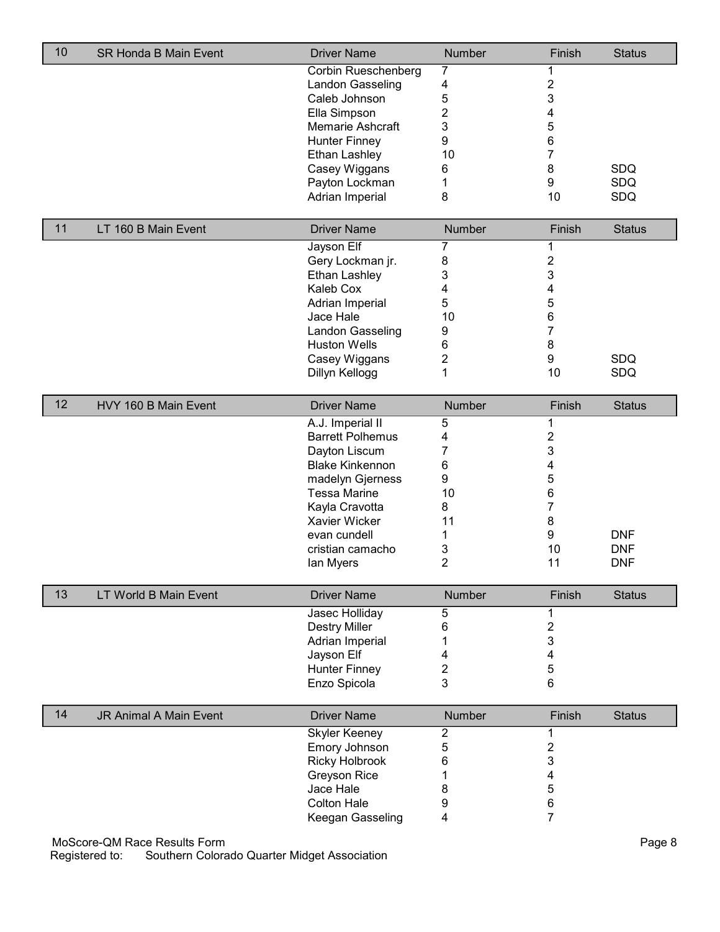| 10 | <b>SR Honda B Main Event</b> | <b>Driver Name</b>                      | Number                  | Finish                  | <b>Status</b> |
|----|------------------------------|-----------------------------------------|-------------------------|-------------------------|---------------|
|    |                              | Corbin Rueschenberg                     | 7                       | 1                       |               |
|    |                              | Landon Gasseling                        | 4                       | $\overline{c}$          |               |
|    |                              | Caleb Johnson                           | 5                       | 3                       |               |
|    |                              | Ella Simpson                            | $\overline{2}$          | 4                       |               |
|    |                              | <b>Memarie Ashcraft</b>                 | 3                       | 5                       |               |
|    |                              | <b>Hunter Finney</b>                    | 9                       | 6                       |               |
|    |                              | <b>Ethan Lashley</b>                    | 10                      | 7                       |               |
|    |                              | Casey Wiggans                           | 6                       | 8                       | SDQ           |
|    |                              | Payton Lockman                          | 1                       | 9                       | SDQ           |
|    |                              | Adrian Imperial                         | 8                       | 10                      | SDQ           |
| 11 | LT 160 B Main Event          | <b>Driver Name</b>                      | Number                  | Finish                  | <b>Status</b> |
|    |                              |                                         |                         |                         |               |
|    |                              | Jayson Elf                              | 7                       | 1                       |               |
|    |                              | Gery Lockman jr.                        | 8                       | $\overline{\mathbf{c}}$ |               |
|    |                              | <b>Ethan Lashley</b>                    | 3                       | 3                       |               |
|    |                              | Kaleb Cox                               | 4                       | 4                       |               |
|    |                              | Adrian Imperial                         | 5                       | 5                       |               |
|    |                              | Jace Hale                               | 10                      | 6                       |               |
|    |                              | Landon Gasseling                        | 9                       | 7                       |               |
|    |                              | <b>Huston Wells</b>                     | 6                       | 8                       |               |
|    |                              | Casey Wiggans                           | $\overline{c}$          | 9                       | SDQ           |
|    |                              | Dillyn Kellogg                          | 1                       | 10                      | SDQ           |
| 12 | HVY 160 B Main Event         | <b>Driver Name</b>                      | Number                  | Finish                  | <b>Status</b> |
|    |                              | A.J. Imperial II                        | 5                       | 1                       |               |
|    |                              | <b>Barrett Polhemus</b>                 | 4                       | $\overline{\mathbf{c}}$ |               |
|    |                              | Dayton Liscum                           | $\overline{7}$          | 3                       |               |
|    |                              | <b>Blake Kinkennon</b>                  | 6                       | 4                       |               |
|    |                              |                                         | 9                       |                         |               |
|    |                              | madelyn Gjerness<br><b>Tessa Marine</b> | 10                      | 5                       |               |
|    |                              |                                         |                         | 6                       |               |
|    |                              | Kayla Cravotta                          | 8                       | 7                       |               |
|    |                              | Xavier Wicker                           | 11                      | 8                       |               |
|    |                              | evan cundell                            | 1                       | 9                       | <b>DNF</b>    |
|    |                              | cristian camacho                        | 3                       | 10                      | <b>DNF</b>    |
|    |                              | lan Myers                               | $\overline{2}$          | 11                      | <b>DNF</b>    |
| 13 | LT World B Main Event        | <b>Driver Name</b>                      | Number                  | Finish                  | <b>Status</b> |
|    |                              | Jasec Holliday                          | 5                       | 1                       |               |
|    |                              | <b>Destry Miller</b>                    | 6                       | $\overline{c}$          |               |
|    |                              | Adrian Imperial                         | 1                       | 3                       |               |
|    |                              | Jayson Elf                              | 4                       | 4                       |               |
|    |                              | <b>Hunter Finney</b>                    | $\overline{\mathbf{c}}$ | 5                       |               |
|    |                              | Enzo Spicola                            | 3                       | 6                       |               |
|    |                              |                                         |                         |                         |               |
| 14 | JR Animal A Main Event       | <b>Driver Name</b>                      | Number                  | Finish                  | <b>Status</b> |
|    |                              | <b>Skyler Keeney</b>                    | $\overline{2}$          | 1                       |               |
|    |                              | Emory Johnson                           | 5                       | $\overline{\mathbf{c}}$ |               |
|    |                              | <b>Ricky Holbrook</b>                   | 6                       | 3                       |               |
|    |                              | Greyson Rice                            | 1                       | 4                       |               |
|    |                              | Jace Hale                               | 8                       | 5                       |               |
|    |                              | <b>Colton Hale</b>                      | 9                       | 6                       |               |
|    |                              | Keegan Gasseling                        | 4                       | $\overline{7}$          |               |
|    | MoScore-QM Race Results Form |                                         |                         |                         | Page 8        |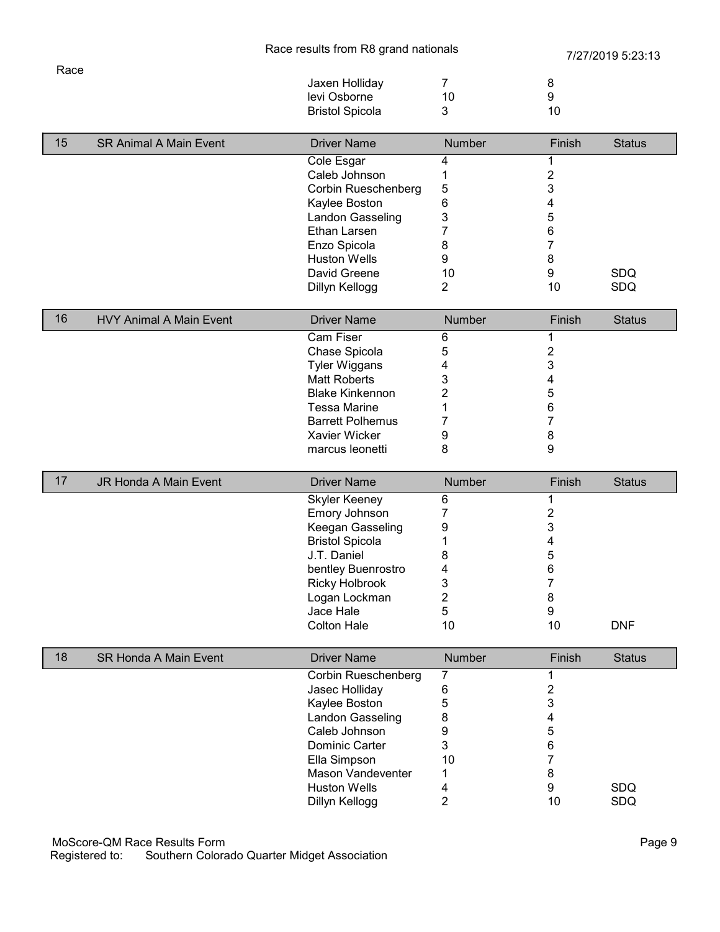| Race |                        |    |    |
|------|------------------------|----|----|
|      | Jaxen Holliday         |    |    |
|      | levi Osborne           | 10 |    |
|      | <b>Bristol Spicola</b> |    | 10 |
|      |                        |    |    |

| 15 | <b>SR Animal A Main Event</b> | <b>Driver Name</b>  | <b>Number</b> | Finish | <b>Status</b> |
|----|-------------------------------|---------------------|---------------|--------|---------------|
|    |                               | Cole Esgar          |               |        |               |
|    |                               | Caleb Johnson       |               |        |               |
|    |                               | Corbin Rueschenberg | 5             | 3      |               |
|    |                               | Kaylee Boston       | 6             |        |               |
|    |                               | Landon Gasseling    |               | 5      |               |
|    |                               | Ethan Larsen        |               | 6      |               |
|    |                               | Enzo Spicola        | 8             |        |               |
|    |                               | <b>Huston Wells</b> | 9             | 8      |               |
|    |                               | David Greene        | 10            | 9      | <b>SDQ</b>    |
|    |                               | Dillyn Kellogg      |               | 10     | <b>SDQ</b>    |

| 16 <sup>°</sup> | <b>HVY Animal A Main Event</b> | <b>Driver Name</b>      | <b>Number</b> | Finish | <b>Status</b> |
|-----------------|--------------------------------|-------------------------|---------------|--------|---------------|
|                 |                                | <b>Cam Fiser</b>        | h             |        |               |
|                 |                                | Chase Spicola           | 5             |        |               |
|                 |                                | <b>Tyler Wiggans</b>    |               | 3      |               |
|                 |                                | Matt Roberts            |               |        |               |
|                 |                                | <b>Blake Kinkennon</b>  |               | C      |               |
|                 |                                | Tessa Marine            |               | 6      |               |
|                 |                                | <b>Barrett Polhemus</b> |               |        |               |
|                 |                                | Xavier Wicker           | 9             | 8      |               |
|                 |                                | marcus leonetti         |               | 9      |               |

| 17 | <b>JR Honda A Main Event</b> | <b>Driver Name</b>     | <b>Number</b> | Finish | <b>Status</b> |
|----|------------------------------|------------------------|---------------|--------|---------------|
|    |                              | <b>Skyler Keeney</b>   | 6             |        |               |
|    |                              | Emory Johnson          |               |        |               |
|    |                              | Keegan Gasseling       | 9             |        |               |
|    |                              | <b>Bristol Spicola</b> |               |        |               |
|    |                              | J.T. Daniel            | 8             | Э      |               |
|    |                              | bentley Buenrostro     |               | 6      |               |
|    |                              | <b>Ricky Holbrook</b>  |               |        |               |
|    |                              | Logan Lockman          |               | 8      |               |
|    |                              | Jace Hale              | ۰.            | 9      |               |
|    |                              | <b>Colton Hale</b>     | 10            | 10     | <b>DNF</b>    |

| 18 | <b>SR Honda A Main Event</b> | <b>Driver Name</b>       | <b>Number</b> | Finish | <b>Status</b> |
|----|------------------------------|--------------------------|---------------|--------|---------------|
|    |                              | Corbin Rueschenberg      |               |        |               |
|    |                              | Jasec Holliday           | 6             |        |               |
|    |                              | Kaylee Boston            | 5             |        |               |
|    |                              | Landon Gasseling         | 8             |        |               |
|    |                              | Caleb Johnson            | 9             | 5      |               |
|    |                              | Dominic Carter           | 3             | 6      |               |
|    |                              | Ella Simpson             | 10            |        |               |
|    |                              | <b>Mason Vandeventer</b> |               | 8      |               |
|    |                              | <b>Huston Wells</b>      | 4             | 9      | <b>SDQ</b>    |
|    |                              | Dillyn Kellogg           |               | 10     | <b>SDQ</b>    |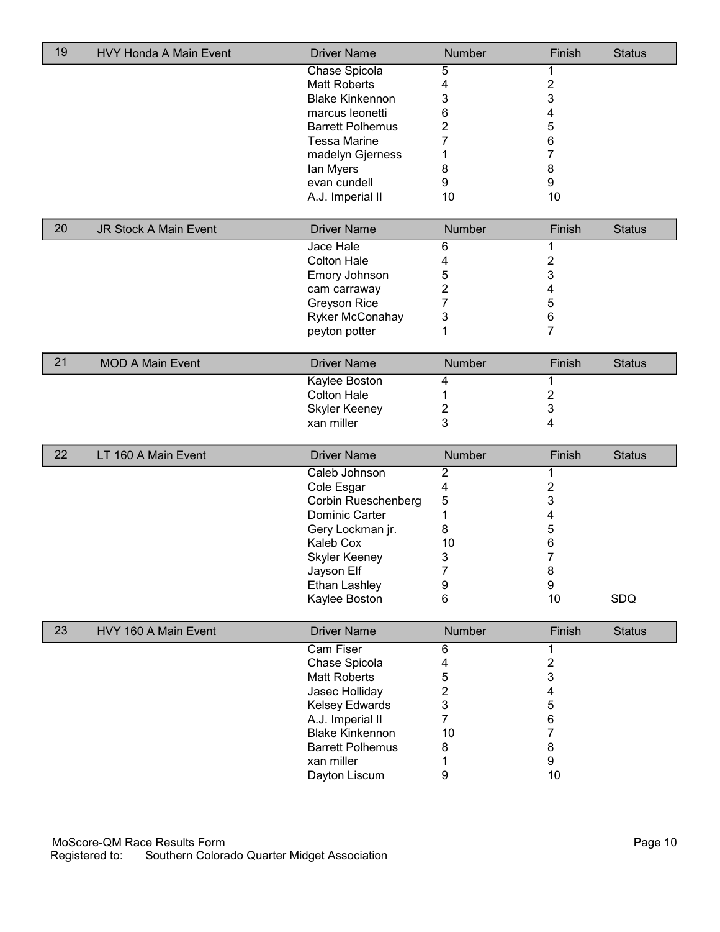| 19 | HVY Honda A Main Event       | <b>Driver Name</b>          | Number         | Finish         | <b>Status</b> |
|----|------------------------------|-----------------------------|----------------|----------------|---------------|
|    |                              | Chase Spicola               | 5              | 1              |               |
|    |                              | <b>Matt Roberts</b>         | 4              | $\overline{c}$ |               |
|    |                              | <b>Blake Kinkennon</b>      | 3              | 3              |               |
|    |                              | marcus leonetti             | 6              | 4              |               |
|    |                              | <b>Barrett Polhemus</b>     | 2              | 5              |               |
|    |                              | <b>Tessa Marine</b>         | 7              | 6              |               |
|    |                              | madelyn Gjerness            | 1              | 7              |               |
|    |                              | lan Myers                   | 8              | 8              |               |
|    |                              | evan cundell                | 9              | 9              |               |
|    |                              | A.J. Imperial II            | 10             | 10             |               |
| 20 | <b>JR Stock A Main Event</b> | <b>Driver Name</b>          | Number         | Finish         | <b>Status</b> |
|    |                              | Jace Hale                   | 6              | 1              |               |
|    |                              | <b>Colton Hale</b>          | 4              | $\overline{c}$ |               |
|    |                              | Emory Johnson               | 5              | 3              |               |
|    |                              | cam carraway                | 2              | 4              |               |
|    |                              | Greyson Rice                | 7              | 5              |               |
|    |                              | Ryker McConahay             | 3              | 6              |               |
|    |                              |                             | 1              | $\overline{7}$ |               |
|    |                              | peyton potter               |                |                |               |
| 21 | <b>MOD A Main Event</b>      | <b>Driver Name</b>          | Number         | Finish         | <b>Status</b> |
|    |                              | Kaylee Boston               | 4              | 1              |               |
|    |                              | <b>Colton Hale</b>          | 1              | 2              |               |
|    |                              | <b>Skyler Keeney</b>        | 2              | 3              |               |
|    |                              |                             |                |                |               |
|    |                              | xan miller                  | 3              | 4              |               |
|    |                              |                             |                |                |               |
| 22 | LT 160 A Main Event          | <b>Driver Name</b>          | Number         | Finish         | <b>Status</b> |
|    |                              | Caleb Johnson               | $\overline{c}$ | 1              |               |
|    |                              | Cole Esgar                  | 4              | $\overline{c}$ |               |
|    |                              | Corbin Rueschenberg         | 5              | 3              |               |
|    |                              | <b>Dominic Carter</b>       | 1              | 4              |               |
|    |                              | Gery Lockman jr.            | 8              | 5              |               |
|    |                              | Kaleb Cox                   | 10             | 6              |               |
|    |                              | <b>Skyler Keeney</b>        | 3              | $\overline{7}$ |               |
|    |                              | Jayson Elf                  | 7              | 8              |               |
|    |                              | Ethan Lashley               | 9              | 9              |               |
|    |                              | Kaylee Boston               | 6              | 10             | SDQ           |
| 23 | HVY 160 A Main Event         | <b>Driver Name</b>          | Number         | Finish         | <b>Status</b> |
|    |                              | <b>Cam Fiser</b>            | 6              |                |               |
|    |                              | Chase Spicola               | 4              | 2              |               |
|    |                              | <b>Matt Roberts</b>         | 5              | 3              |               |
|    |                              | Jasec Holliday              | $\overline{2}$ | 4              |               |
|    |                              | Kelsey Edwards              | 3              | 5              |               |
|    |                              | A.J. Imperial II            | $\overline{7}$ | 6              |               |
|    |                              | <b>Blake Kinkennon</b>      | 10             | $\overline{7}$ |               |
|    |                              | <b>Barrett Polhemus</b>     | 8              | 8              |               |
|    |                              | xan miller<br>Dayton Liscum | 1<br>9         | 9<br>10        |               |